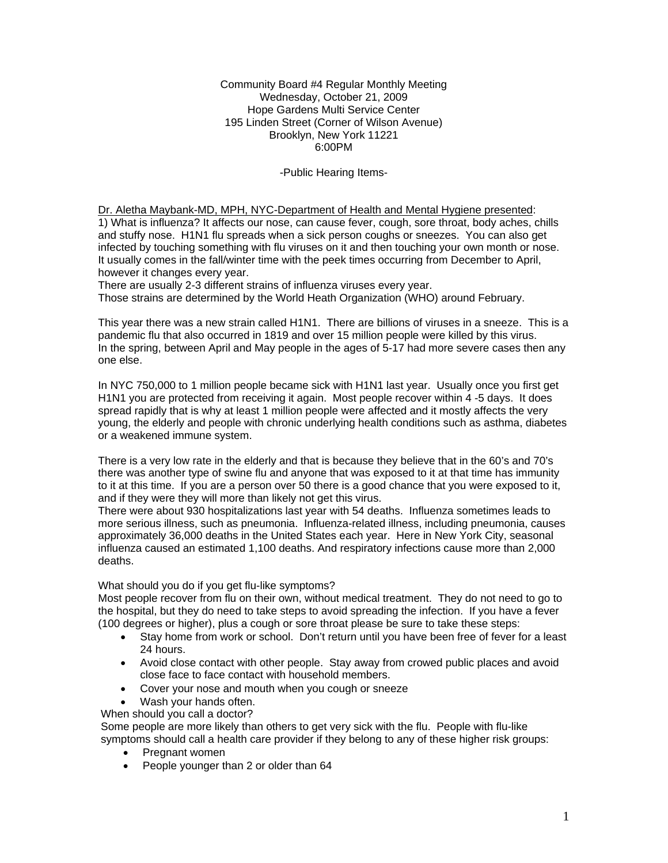Community Board #4 Regular Monthly Meeting Wednesday, October 21, 2009 Hope Gardens Multi Service Center 195 Linden Street (Corner of Wilson Avenue) Brooklyn, New York 11221 6:00PM

## -Public Hearing Items-

Dr. Aletha Maybank-MD, MPH, NYC-Department of Health and Mental Hygiene presented: 1) What is influenza? It affects our nose, can cause fever, cough, sore throat, body aches, chills and stuffy nose. H1N1 flu spreads when a sick person coughs or sneezes. You can also get infected by touching something with flu viruses on it and then touching your own month or nose. It usually comes in the fall/winter time with the peek times occurring from December to April, however it changes every year.

There are usually 2-3 different strains of influenza viruses every year.

Those strains are determined by the World Heath Organization (WHO) around February.

This year there was a new strain called H1N1. There are billions of viruses in a sneeze. This is a pandemic flu that also occurred in 1819 and over 15 million people were killed by this virus. In the spring, between April and May people in the ages of 5-17 had more severe cases then any one else.

In NYC 750,000 to 1 million people became sick with H1N1 last year. Usually once you first get H1N1 you are protected from receiving it again. Most people recover within 4 -5 days. It does spread rapidly that is why at least 1 million people were affected and it mostly affects the very young, the elderly and people with chronic underlying health conditions such as asthma, diabetes or a weakened immune system.

There is a very low rate in the elderly and that is because they believe that in the 60's and 70's there was another type of swine flu and anyone that was exposed to it at that time has immunity to it at this time. If you are a person over 50 there is a good chance that you were exposed to it, and if they were they will more than likely not get this virus.

There were about 930 hospitalizations last year with 54 deaths. Influenza sometimes leads to more serious illness, such as pneumonia. Influenza-related illness, including pneumonia, causes approximately 36,000 deaths in the United States each year. Here in New York City, seasonal influenza caused an estimated 1,100 deaths. And respiratory infections cause more than 2,000 deaths.

### What should you do if you get flu-like symptoms?

Most people recover from flu on their own, without medical treatment. They do not need to go to the hospital, but they do need to take steps to avoid spreading the infection. If you have a fever (100 degrees or higher), plus a cough or sore throat please be sure to take these steps:

- Stay home from work or school. Don't return until you have been free of fever for a least 24 hours.
- Avoid close contact with other people. Stay away from crowed public places and avoid close face to face contact with household members.
- Cover your nose and mouth when you cough or sneeze
- Wash your hands often.

When should you call a doctor?

Some people are more likely than others to get very sick with the flu. People with flu-like symptoms should call a health care provider if they belong to any of these higher risk groups:

- Pregnant women
- People younger than 2 or older than 64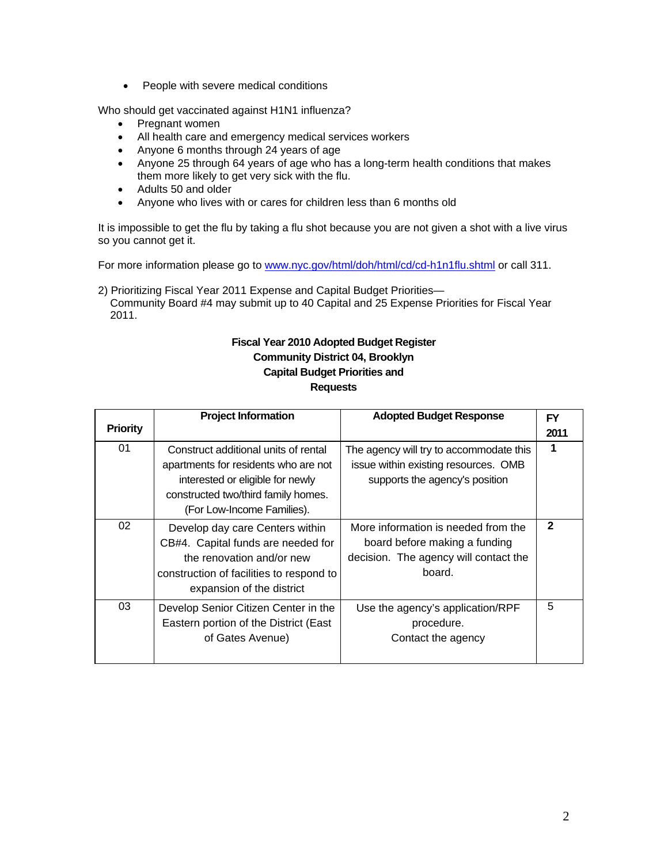• People with severe medical conditions

Who should get vaccinated against H1N1 influenza?

- Pregnant women
- All health care and emergency medical services workers
- Anyone 6 months through 24 years of age
- Anyone 25 through 64 years of age who has a long-term health conditions that makes them more likely to get very sick with the flu.
- Adults 50 and older
- Anyone who lives with or cares for children less than 6 months old

It is impossible to get the flu by taking a flu shot because you are not given a shot with a live virus so you cannot get it.

For more information please go to www.nyc.gov/html/doh/html/cd/cd-h1n1flu.shtml or call 311.

2) Prioritizing Fiscal Year 2011 Expense and Capital Budget Priorities— Community Board #4 may submit up to 40 Capital and 25 Expense Priorities for Fiscal Year 2011.

# **Fiscal Year 2010 Adopted Budget Register Community District 04, Brooklyn Capital Budget Priorities and Requests**

| <b>Priority</b> | <b>Project Information</b>                                                                                                                                                            | <b>Adopted Budget Response</b>                                                                                          | FY<br>2011     |
|-----------------|---------------------------------------------------------------------------------------------------------------------------------------------------------------------------------------|-------------------------------------------------------------------------------------------------------------------------|----------------|
| 01              | Construct additional units of rental<br>apartments for residents who are not<br>interested or eligible for newly<br>constructed two/third family homes.<br>(For Low-Income Families). | The agency will try to accommodate this<br>issue within existing resources. OMB<br>supports the agency's position       | 1              |
| 02              | Develop day care Centers within<br>CB#4. Capital funds are needed for<br>the renovation and/or new<br>construction of facilities to respond to<br>expansion of the district           | More information is needed from the<br>board before making a funding<br>decision. The agency will contact the<br>board. | $\overline{2}$ |
| 03              | Develop Senior Citizen Center in the<br>Eastern portion of the District (East<br>of Gates Avenue)                                                                                     | Use the agency's application/RPF<br>procedure.<br>Contact the agency                                                    | 5              |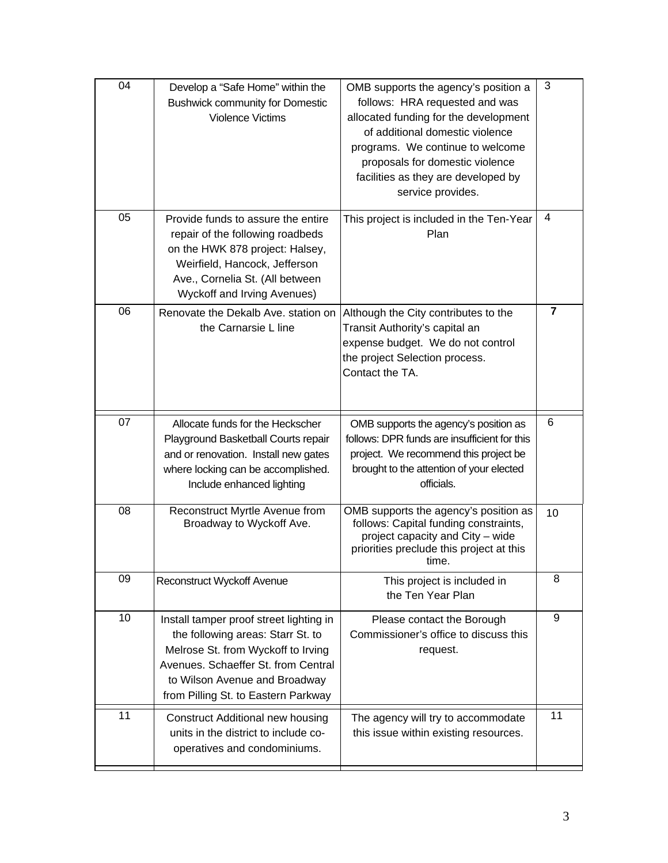| 04 | Develop a "Safe Home" within the<br><b>Bushwick community for Domestic</b><br><b>Violence Victims</b>                                                                                                                             | OMB supports the agency's position a<br>follows: HRA requested and was<br>allocated funding for the development<br>of additional domestic violence<br>programs. We continue to welcome<br>proposals for domestic violence<br>facilities as they are developed by<br>service provides. | 3  |
|----|-----------------------------------------------------------------------------------------------------------------------------------------------------------------------------------------------------------------------------------|---------------------------------------------------------------------------------------------------------------------------------------------------------------------------------------------------------------------------------------------------------------------------------------|----|
| 05 | Provide funds to assure the entire<br>repair of the following roadbeds<br>on the HWK 878 project: Halsey,<br>Weirfield, Hancock, Jefferson<br>Ave., Cornelia St. (All between<br><b>Wyckoff and Irving Avenues)</b>               | This project is included in the Ten-Year<br>Plan                                                                                                                                                                                                                                      | 4  |
| 06 | Renovate the Dekalb Ave. station on<br>the Carnarsie L line                                                                                                                                                                       | Although the City contributes to the<br>Transit Authority's capital an<br>expense budget. We do not control<br>the project Selection process.<br>Contact the TA.                                                                                                                      | 7  |
| 07 | Allocate funds for the Heckscher<br>Playground Basketball Courts repair<br>and or renovation. Install new gates<br>where locking can be accomplished.<br>Include enhanced lighting                                                | OMB supports the agency's position as<br>follows: DPR funds are insufficient for this<br>project. We recommend this project be<br>brought to the attention of your elected<br>officials.                                                                                              | 6  |
| 08 | Reconstruct Myrtle Avenue from<br>Broadway to Wyckoff Ave.                                                                                                                                                                        | OMB supports the agency's position as<br>follows: Capital funding constraints,<br>project capacity and City - wide<br>priorities preclude this project at this<br>time.                                                                                                               | 10 |
| 09 | Reconstruct Wyckoff Avenue                                                                                                                                                                                                        | This project is included in<br>the Ten Year Plan                                                                                                                                                                                                                                      | 8  |
| 10 | Install tamper proof street lighting in<br>the following areas: Starr St. to<br>Melrose St. from Wyckoff to Irving<br>Avenues. Schaeffer St. from Central<br>to Wilson Avenue and Broadway<br>from Pilling St. to Eastern Parkway | Please contact the Borough<br>Commissioner's office to discuss this<br>request.                                                                                                                                                                                                       | 9  |
| 11 | <b>Construct Additional new housing</b><br>units in the district to include co-<br>operatives and condominiums.                                                                                                                   | The agency will try to accommodate<br>this issue within existing resources.                                                                                                                                                                                                           | 11 |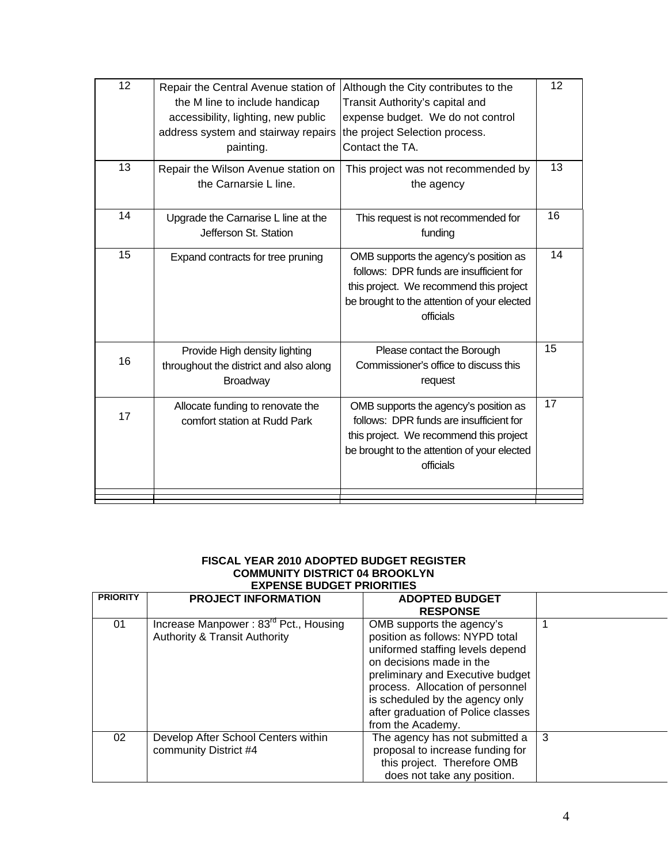| 12 | Repair the Central Avenue station of<br>the M line to include handicap<br>accessibility, lighting, new public<br>address system and stairway repairs<br>painting. | Although the City contributes to the<br>Transit Authority's capital and<br>expense budget. We do not control<br>the project Selection process.<br>Contact the TA.                       | 12 |
|----|-------------------------------------------------------------------------------------------------------------------------------------------------------------------|-----------------------------------------------------------------------------------------------------------------------------------------------------------------------------------------|----|
| 13 | Repair the Wilson Avenue station on<br>the Carnarsie L line.                                                                                                      | This project was not recommended by<br>the agency                                                                                                                                       | 13 |
| 14 | Upgrade the Carnarise L line at the<br>Jefferson St. Station                                                                                                      | This request is not recommended for<br>funding                                                                                                                                          | 16 |
| 15 | Expand contracts for tree pruning                                                                                                                                 | OMB supports the agency's position as<br>follows: DPR funds are insufficient for<br>this project. We recommend this project<br>be brought to the attention of your elected<br>officials | 14 |
| 16 | Provide High density lighting<br>throughout the district and also along<br>Broadway                                                                               | Please contact the Borough<br>Commissioner's office to discuss this<br>request                                                                                                          | 15 |
| 17 | Allocate funding to renovate the<br>comfort station at Rudd Park                                                                                                  | OMB supports the agency's position as<br>follows: DPR funds are insufficient for<br>this project. We recommend this project<br>be brought to the attention of your elected<br>officials | 17 |
|    |                                                                                                                                                                   |                                                                                                                                                                                         |    |

# **FISCAL YEAR 2010 ADOPTED BUDGET REGISTER COMMUNITY DISTRICT 04 BROOKLYN EXPENSE BUDGET PRIORITIES**

| <b>PRIORITY</b> | <b>PROJECT INFORMATION</b>                                                                    | <b>ADOPTED BUDGET</b><br><b>RESPONSE</b>                                                                                                                                                                                                                                                           |   |
|-----------------|-----------------------------------------------------------------------------------------------|----------------------------------------------------------------------------------------------------------------------------------------------------------------------------------------------------------------------------------------------------------------------------------------------------|---|
| 01              | Increase Manpower: 83 <sup>rd</sup> Pct., Housing<br><b>Authority &amp; Transit Authority</b> | OMB supports the agency's<br>position as follows: NYPD total<br>uniformed staffing levels depend<br>on decisions made in the<br>preliminary and Executive budget<br>process. Allocation of personnel<br>is scheduled by the agency only<br>after graduation of Police classes<br>from the Academy. |   |
| 02              | Develop After School Centers within<br>community District #4                                  | The agency has not submitted a<br>proposal to increase funding for<br>this project. Therefore OMB<br>does not take any position.                                                                                                                                                                   | 3 |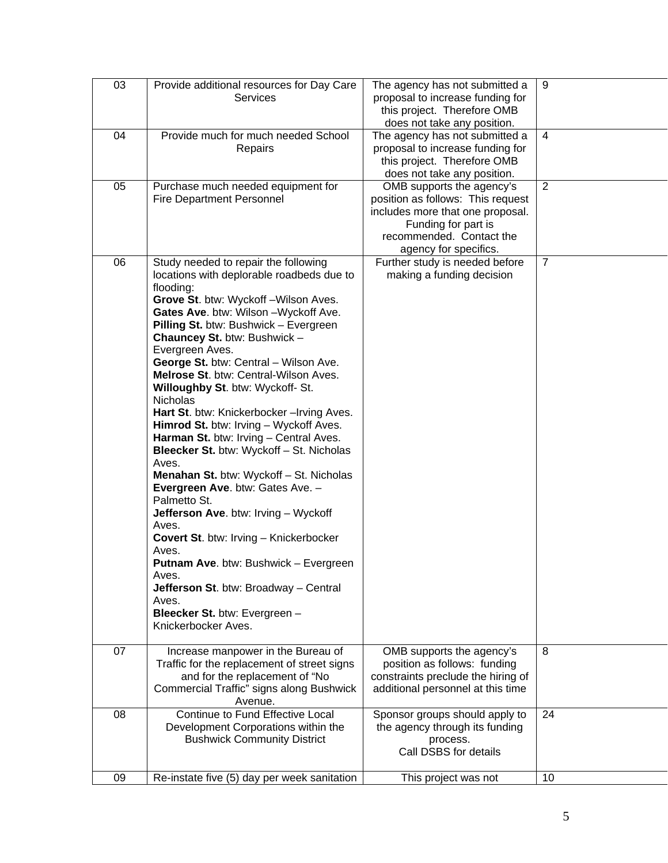| 03 | Provide additional resources for Day Care                                     | The agency has not submitted a                                     | 9              |
|----|-------------------------------------------------------------------------------|--------------------------------------------------------------------|----------------|
|    | Services                                                                      | proposal to increase funding for                                   |                |
|    |                                                                               | this project. Therefore OMB                                        |                |
| 04 | Provide much for much needed School                                           | does not take any position.                                        | $\overline{4}$ |
|    | Repairs                                                                       | The agency has not submitted a<br>proposal to increase funding for |                |
|    |                                                                               | this project. Therefore OMB                                        |                |
|    |                                                                               | does not take any position.                                        |                |
| 05 | Purchase much needed equipment for                                            | OMB supports the agency's                                          | 2              |
|    | <b>Fire Department Personnel</b>                                              | position as follows: This request                                  |                |
|    |                                                                               | includes more that one proposal.                                   |                |
|    |                                                                               | Funding for part is                                                |                |
|    |                                                                               | recommended. Contact the                                           |                |
|    |                                                                               | agency for specifics.                                              |                |
| 06 | Study needed to repair the following                                          | Further study is needed before                                     | $\overline{7}$ |
|    | locations with deplorable roadbeds due to                                     | making a funding decision                                          |                |
|    | flooding:                                                                     |                                                                    |                |
|    | Grove St. btw: Wyckoff-Wilson Aves.                                           |                                                                    |                |
|    | Gates Ave. btw: Wilson - Wyckoff Ave.                                         |                                                                    |                |
|    | Pilling St. btw: Bushwick - Evergreen                                         |                                                                    |                |
|    | Chauncey St. btw: Bushwick -<br>Evergreen Aves.                               |                                                                    |                |
|    | George St. btw: Central - Wilson Ave.                                         |                                                                    |                |
|    | Melrose St. btw: Central-Wilson Aves.                                         |                                                                    |                |
|    | Willoughby St. btw: Wyckoff- St.                                              |                                                                    |                |
|    | <b>Nicholas</b>                                                               |                                                                    |                |
|    | Hart St. btw: Knickerbocker-Irving Aves.                                      |                                                                    |                |
|    | Himrod St. btw: Irving - Wyckoff Aves.                                        |                                                                    |                |
|    | Harman St. btw: Irving - Central Aves.                                        |                                                                    |                |
|    | Bleecker St. btw: Wyckoff - St. Nicholas                                      |                                                                    |                |
|    | Aves.                                                                         |                                                                    |                |
|    | Menahan St. btw: Wyckoff - St. Nicholas                                       |                                                                    |                |
|    | Evergreen Ave. btw: Gates Ave. -                                              |                                                                    |                |
|    | Palmetto St.<br>Jefferson Ave. btw: Irving - Wyckoff                          |                                                                    |                |
|    | Aves.                                                                         |                                                                    |                |
|    | <b>Covert St. btw: Irving - Knickerbocker</b>                                 |                                                                    |                |
|    | Aves.                                                                         |                                                                    |                |
|    | Putnam Ave. btw: Bushwick - Evergreen                                         |                                                                    |                |
|    | Aves.                                                                         |                                                                    |                |
|    | Jefferson St. btw: Broadway - Central                                         |                                                                    |                |
|    | Aves.                                                                         |                                                                    |                |
|    | Bleecker St. btw: Evergreen -                                                 |                                                                    |                |
|    | Knickerbocker Aves.                                                           |                                                                    |                |
|    |                                                                               |                                                                    |                |
| 07 | Increase manpower in the Bureau of                                            | OMB supports the agency's                                          | 8              |
|    | Traffic for the replacement of street signs<br>and for the replacement of "No | position as follows: funding<br>constraints preclude the hiring of |                |
|    | Commercial Traffic" signs along Bushwick                                      | additional personnel at this time                                  |                |
|    | Avenue.                                                                       |                                                                    |                |
| 08 | Continue to Fund Effective Local                                              | Sponsor groups should apply to                                     | 24             |
|    | Development Corporations within the                                           | the agency through its funding                                     |                |
|    | <b>Bushwick Community District</b>                                            | process.                                                           |                |
|    |                                                                               | Call DSBS for details                                              |                |
|    |                                                                               |                                                                    |                |
| 09 | Re-instate five (5) day per week sanitation                                   | This project was not                                               | 10             |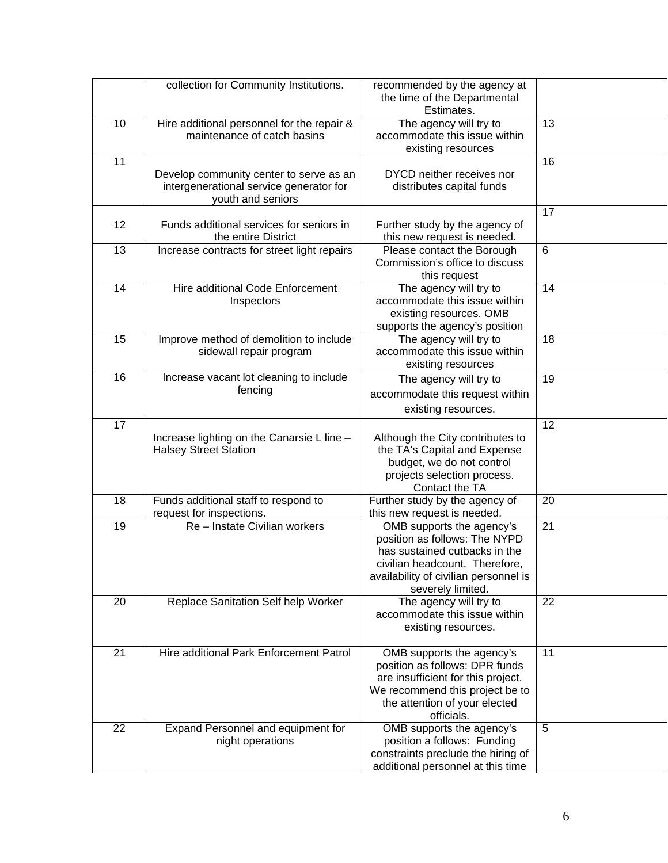|    | collection for Community Institutions.                                                                  | recommended by the agency at<br>the time of the Departmental<br>Estimates.                                                                                                                  |    |
|----|---------------------------------------------------------------------------------------------------------|---------------------------------------------------------------------------------------------------------------------------------------------------------------------------------------------|----|
| 10 | Hire additional personnel for the repair &<br>maintenance of catch basins                               | The agency will try to<br>accommodate this issue within<br>existing resources                                                                                                               | 13 |
| 11 | Develop community center to serve as an<br>intergenerational service generator for<br>youth and seniors | DYCD neither receives nor<br>distributes capital funds                                                                                                                                      | 16 |
| 12 | Funds additional services for seniors in<br>the entire District                                         | Further study by the agency of<br>this new request is needed.                                                                                                                               | 17 |
| 13 | Increase contracts for street light repairs                                                             | Please contact the Borough<br>Commission's office to discuss<br>this request                                                                                                                | 6  |
| 14 | Hire additional Code Enforcement<br>Inspectors                                                          | The agency will try to<br>accommodate this issue within<br>existing resources. OMB<br>supports the agency's position                                                                        | 14 |
| 15 | Improve method of demolition to include<br>sidewall repair program                                      | The agency will try to<br>accommodate this issue within<br>existing resources                                                                                                               | 18 |
| 16 | Increase vacant lot cleaning to include<br>fencing                                                      | The agency will try to<br>accommodate this request within<br>existing resources.                                                                                                            | 19 |
| 17 | Increase lighting on the Canarsie L line -<br><b>Halsey Street Station</b>                              | Although the City contributes to<br>the TA's Capital and Expense<br>budget, we do not control<br>projects selection process.<br>Contact the TA                                              | 12 |
| 18 | Funds additional staff to respond to<br>request for inspections.                                        | Further study by the agency of<br>this new request is needed.                                                                                                                               | 20 |
| 19 | Re - Instate Civilian workers                                                                           | OMB supports the agency's<br>position as follows: The NYPD<br>has sustained cutbacks in the<br>civilian headcount. Therefore.<br>availability of civilian personnel is<br>severely limited. | 21 |
| 20 | Replace Sanitation Self help Worker                                                                     | The agency will try to<br>accommodate this issue within<br>existing resources.                                                                                                              | 22 |
| 21 | Hire additional Park Enforcement Patrol                                                                 | OMB supports the agency's<br>position as follows: DPR funds<br>are insufficient for this project.<br>We recommend this project be to<br>the attention of your elected<br>officials.         | 11 |
| 22 | Expand Personnel and equipment for<br>night operations                                                  | OMB supports the agency's<br>position a follows: Funding<br>constraints preclude the hiring of<br>additional personnel at this time                                                         | 5  |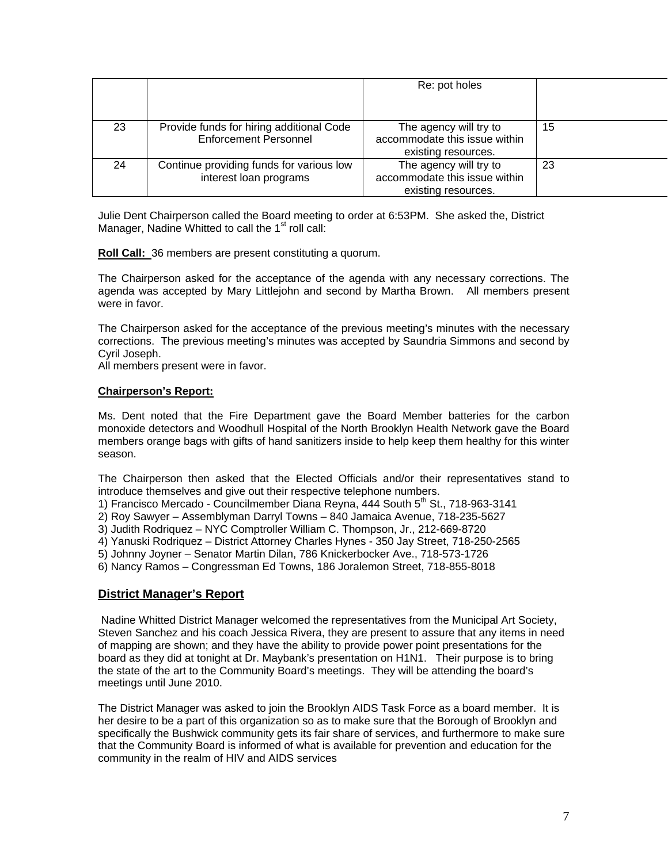|    |                                                                          | Re: pot holes                                                                  |    |
|----|--------------------------------------------------------------------------|--------------------------------------------------------------------------------|----|
|    |                                                                          |                                                                                |    |
| 23 | Provide funds for hiring additional Code<br><b>Enforcement Personnel</b> | The agency will try to<br>accommodate this issue within<br>existing resources. | 15 |
| 24 | Continue providing funds for various low<br>interest loan programs       | The agency will try to<br>accommodate this issue within<br>existing resources. | 23 |

Julie Dent Chairperson called the Board meeting to order at 6:53PM. She asked the, District Manager, Nadine Whitted to call the  $1<sup>st</sup>$  roll call:

**Roll Call:** 36 members are present constituting a quorum.

The Chairperson asked for the acceptance of the agenda with any necessary corrections. The agenda was accepted by Mary Littlejohn and second by Martha Brown. All members present were in favor.

The Chairperson asked for the acceptance of the previous meeting's minutes with the necessary corrections. The previous meeting's minutes was accepted by Saundria Simmons and second by Cyril Joseph.

All members present were in favor.

## **Chairperson's Report:**

Ms. Dent noted that the Fire Department gave the Board Member batteries for the carbon monoxide detectors and Woodhull Hospital of the North Brooklyn Health Network gave the Board members orange bags with gifts of hand sanitizers inside to help keep them healthy for this winter season.

The Chairperson then asked that the Elected Officials and/or their representatives stand to introduce themselves and give out their respective telephone numbers.

1) Francisco Mercado - Councilmember Diana Reyna, 444 South  $5<sup>th</sup>$  St., 718-963-3141

2) Roy Sawyer – Assemblyman Darryl Towns – 840 Jamaica Avenue, 718-235-5627

3) Judith Rodriquez – NYC Comptroller William C. Thompson, Jr., 212-669-8720

4) Yanuski Rodriquez – District Attorney Charles Hynes - 350 Jay Street, 718-250-2565

5) Johnny Joyner – Senator Martin Dilan, 786 Knickerbocker Ave., 718-573-1726

6) Nancy Ramos – Congressman Ed Towns, 186 Joralemon Street, 718-855-8018

# **District Manager's Report**

 Nadine Whitted District Manager welcomed the representatives from the Municipal Art Society, Steven Sanchez and his coach Jessica Rivera, they are present to assure that any items in need of mapping are shown; and they have the ability to provide power point presentations for the board as they did at tonight at Dr. Maybank's presentation on H1N1. Their purpose is to bring the state of the art to the Community Board's meetings. They will be attending the board's meetings until June 2010.

The District Manager was asked to join the Brooklyn AIDS Task Force as a board member. It is her desire to be a part of this organization so as to make sure that the Borough of Brooklyn and specifically the Bushwick community gets its fair share of services, and furthermore to make sure that the Community Board is informed of what is available for prevention and education for the community in the realm of HIV and AIDS services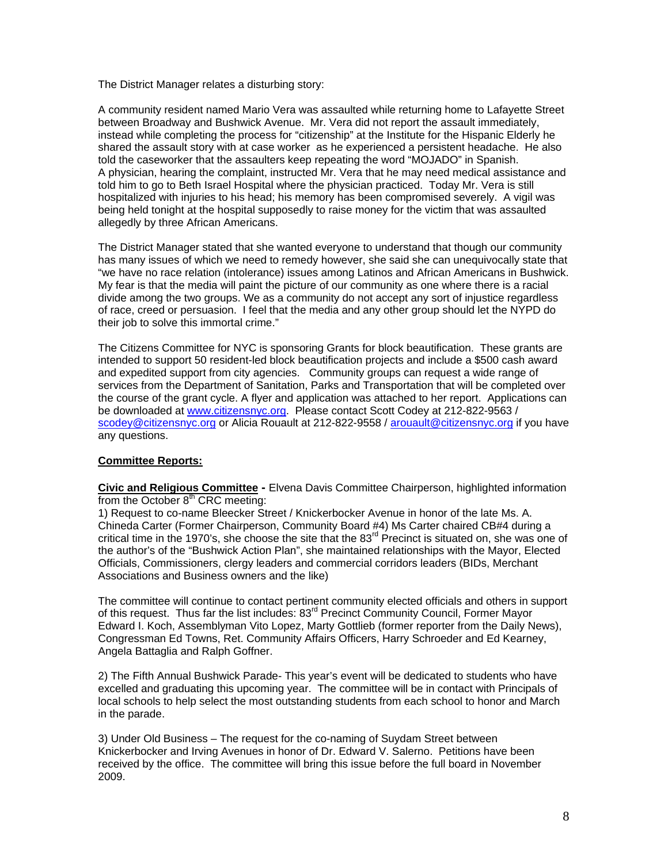The District Manager relates a disturbing story:

A community resident named Mario Vera was assaulted while returning home to Lafayette Street between Broadway and Bushwick Avenue. Mr. Vera did not report the assault immediately, instead while completing the process for "citizenship" at the Institute for the Hispanic Elderly he shared the assault story with at case worker as he experienced a persistent headache. He also told the caseworker that the assaulters keep repeating the word "MOJADO" in Spanish. A physician, hearing the complaint, instructed Mr. Vera that he may need medical assistance and told him to go to Beth Israel Hospital where the physician practiced. Today Mr. Vera is still hospitalized with injuries to his head; his memory has been compromised severely. A vigil was being held tonight at the hospital supposedly to raise money for the victim that was assaulted allegedly by three African Americans.

The District Manager stated that she wanted everyone to understand that though our community has many issues of which we need to remedy however, she said she can unequivocally state that "we have no race relation (intolerance) issues among Latinos and African Americans in Bushwick. My fear is that the media will paint the picture of our community as one where there is a racial divide among the two groups. We as a community do not accept any sort of injustice regardless of race, creed or persuasion. I feel that the media and any other group should let the NYPD do their job to solve this immortal crime."

The Citizens Committee for NYC is sponsoring Grants for block beautification. These grants are intended to support 50 resident-led block beautification projects and include a \$500 cash award and expedited support from city agencies. Community groups can request a wide range of services from the Department of Sanitation, Parks and Transportation that will be completed over the course of the grant cycle. A flyer and application was attached to her report. Applications can be downloaded at www.citizensnyc.org. Please contact Scott Codey at 212-822-9563 / scodey@citizensnyc.org or Alicia Rouault at 212-822-9558 / arouault@citizensnyc.org if you have any questions.

### **Committee Reports:**

**Civic and Religious Committee -** Elvena Davis Committee Chairperson, highlighted information from the October  $8<sup>th</sup>$  CRC meeting:

1) Request to co-name Bleecker Street / Knickerbocker Avenue in honor of the late Ms. A. Chineda Carter (Former Chairperson, Community Board #4) Ms Carter chaired CB#4 during a critical time in the 1970's, she choose the site that the  $83<sup>rd</sup>$  Precinct is situated on, she was one of the author's of the "Bushwick Action Plan", she maintained relationships with the Mayor, Elected Officials, Commissioners, clergy leaders and commercial corridors leaders (BIDs, Merchant Associations and Business owners and the like)

The committee will continue to contact pertinent community elected officials and others in support of this request. Thus far the list includes: 83<sup>rd</sup> Precinct Community Council, Former Mayor Edward I. Koch, Assemblyman Vito Lopez, Marty Gottlieb (former reporter from the Daily News), Congressman Ed Towns, Ret. Community Affairs Officers, Harry Schroeder and Ed Kearney, Angela Battaglia and Ralph Goffner.

2) The Fifth Annual Bushwick Parade- This year's event will be dedicated to students who have excelled and graduating this upcoming year. The committee will be in contact with Principals of local schools to help select the most outstanding students from each school to honor and March in the parade.

3) Under Old Business – The request for the co-naming of Suydam Street between Knickerbocker and Irving Avenues in honor of Dr. Edward V. Salerno. Petitions have been received by the office. The committee will bring this issue before the full board in November 2009.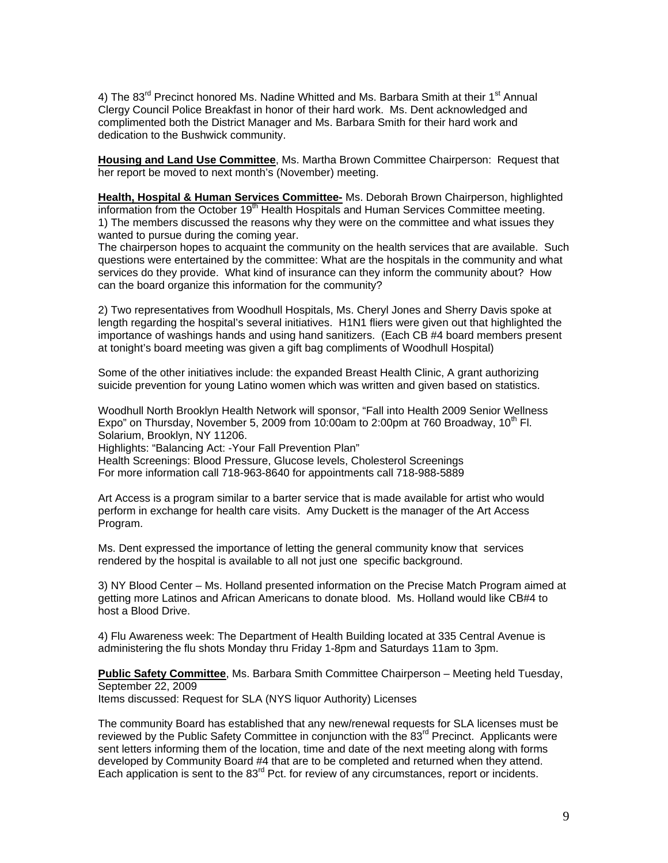4) The 83<sup>rd</sup> Precinct honored Ms. Nadine Whitted and Ms. Barbara Smith at their 1<sup>st</sup> Annual Clergy Council Police Breakfast in honor of their hard work. Ms. Dent acknowledged and complimented both the District Manager and Ms. Barbara Smith for their hard work and dedication to the Bushwick community.

**Housing and Land Use Committee**, Ms. Martha Brown Committee Chairperson: Request that her report be moved to next month's (November) meeting.

**Health, Hospital & Human Services Committee-** Ms. Deborah Brown Chairperson, highlighted information from the October 19<sup>th</sup> Health Hospitals and Human Services Committee meeting. 1) The members discussed the reasons why they were on the committee and what issues they wanted to pursue during the coming year.

The chairperson hopes to acquaint the community on the health services that are available. Such questions were entertained by the committee: What are the hospitals in the community and what services do they provide. What kind of insurance can they inform the community about? How can the board organize this information for the community?

2) Two representatives from Woodhull Hospitals, Ms. Cheryl Jones and Sherry Davis spoke at length regarding the hospital's several initiatives. H1N1 fliers were given out that highlighted the importance of washings hands and using hand sanitizers. (Each CB #4 board members present at tonight's board meeting was given a gift bag compliments of Woodhull Hospital)

Some of the other initiatives include: the expanded Breast Health Clinic, A grant authorizing suicide prevention for young Latino women which was written and given based on statistics.

Woodhull North Brooklyn Health Network will sponsor, "Fall into Health 2009 Senior Wellness Expo" on Thursday, November 5, 2009 from 10:00am to 2:00pm at 760 Broadway, 10 $^{\circ}$  Fl. Solarium, Brooklyn, NY 11206.

Highlights: "Balancing Act: -Your Fall Prevention Plan"

Health Screenings: Blood Pressure, Glucose levels, Cholesterol Screenings For more information call 718-963-8640 for appointments call 718-988-5889

Art Access is a program similar to a barter service that is made available for artist who would perform in exchange for health care visits. Amy Duckett is the manager of the Art Access Program.

Ms. Dent expressed the importance of letting the general community know that services rendered by the hospital is available to all not just one specific background.

3) NY Blood Center – Ms. Holland presented information on the Precise Match Program aimed at getting more Latinos and African Americans to donate blood. Ms. Holland would like CB#4 to host a Blood Drive.

4) Flu Awareness week: The Department of Health Building located at 335 Central Avenue is administering the flu shots Monday thru Friday 1-8pm and Saturdays 11am to 3pm.

**Public Safety Committee**, Ms. Barbara Smith Committee Chairperson – Meeting held Tuesday, September 22, 2009 Items discussed: Request for SLA (NYS liquor Authority) Licenses

The community Board has established that any new/renewal requests for SLA licenses must be reviewed by the Public Safety Committee in conjunction with the 83<sup>rd</sup> Precinct. Applicants were sent letters informing them of the location, time and date of the next meeting along with forms developed by Community Board #4 that are to be completed and returned when they attend. Each application is sent to the  $83<sup>rd</sup>$  Pct. for review of any circumstances, report or incidents.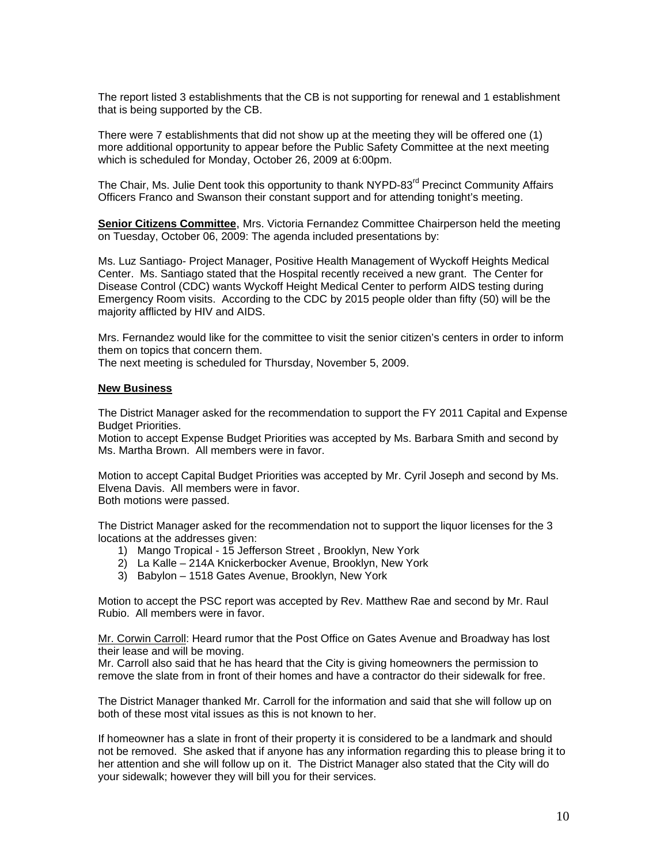The report listed 3 establishments that the CB is not supporting for renewal and 1 establishment that is being supported by the CB.

There were 7 establishments that did not show up at the meeting they will be offered one (1) more additional opportunity to appear before the Public Safety Committee at the next meeting which is scheduled for Monday, October 26, 2009 at 6:00pm.

The Chair, Ms. Julie Dent took this opportunity to thank NYPD-83<sup>rd</sup> Precinct Community Affairs Officers Franco and Swanson their constant support and for attending tonight's meeting.

**Senior Citizens Committee**, Mrs. Victoria Fernandez Committee Chairperson held the meeting on Tuesday, October 06, 2009: The agenda included presentations by:

Ms. Luz Santiago- Project Manager, Positive Health Management of Wyckoff Heights Medical Center. Ms. Santiago stated that the Hospital recently received a new grant. The Center for Disease Control (CDC) wants Wyckoff Height Medical Center to perform AIDS testing during Emergency Room visits. According to the CDC by 2015 people older than fifty (50) will be the majority afflicted by HIV and AIDS.

Mrs. Fernandez would like for the committee to visit the senior citizen's centers in order to inform them on topics that concern them.

The next meeting is scheduled for Thursday, November 5, 2009.

#### **New Business**

The District Manager asked for the recommendation to support the FY 2011 Capital and Expense Budget Priorities.

Motion to accept Expense Budget Priorities was accepted by Ms. Barbara Smith and second by Ms. Martha Brown. All members were in favor.

Motion to accept Capital Budget Priorities was accepted by Mr. Cyril Joseph and second by Ms. Elvena Davis. All members were in favor. Both motions were passed.

The District Manager asked for the recommendation not to support the liquor licenses for the 3 locations at the addresses given:

- 1) Mango Tropical 15 Jefferson Street , Brooklyn, New York
- 2) La Kalle 214A Knickerbocker Avenue, Brooklyn, New York
- 3) Babylon 1518 Gates Avenue, Brooklyn, New York

Motion to accept the PSC report was accepted by Rev. Matthew Rae and second by Mr. Raul Rubio. All members were in favor.

Mr. Corwin Carroll: Heard rumor that the Post Office on Gates Avenue and Broadway has lost their lease and will be moving.

Mr. Carroll also said that he has heard that the City is giving homeowners the permission to remove the slate from in front of their homes and have a contractor do their sidewalk for free.

The District Manager thanked Mr. Carroll for the information and said that she will follow up on both of these most vital issues as this is not known to her.

If homeowner has a slate in front of their property it is considered to be a landmark and should not be removed. She asked that if anyone has any information regarding this to please bring it to her attention and she will follow up on it. The District Manager also stated that the City will do your sidewalk; however they will bill you for their services.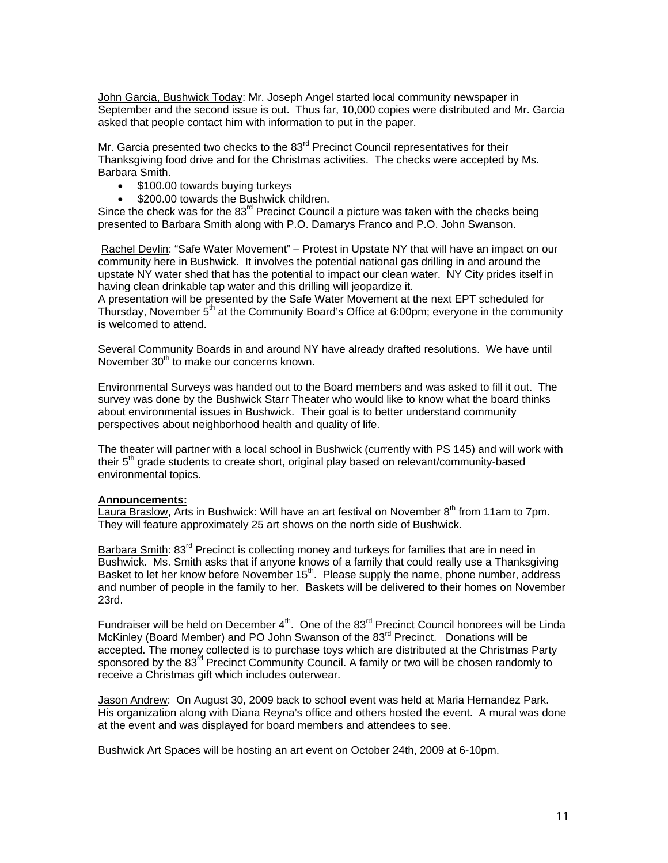John Garcia, Bushwick Today: Mr. Joseph Angel started local community newspaper in September and the second issue is out. Thus far, 10,000 copies were distributed and Mr. Garcia asked that people contact him with information to put in the paper.

Mr. Garcia presented two checks to the 83<sup>rd</sup> Precinct Council representatives for their Thanksgiving food drive and for the Christmas activities. The checks were accepted by Ms. Barbara Smith.

- \$100.00 towards buying turkeys
- \$200.00 towards the Bushwick children.

Since the check was for the  $83<sup>rd</sup>$  Precinct Council a picture was taken with the checks being presented to Barbara Smith along with P.O. Damarys Franco and P.O. John Swanson.

 Rachel Devlin: "Safe Water Movement" – Protest in Upstate NY that will have an impact on our community here in Bushwick. It involves the potential national gas drilling in and around the upstate NY water shed that has the potential to impact our clean water. NY City prides itself in having clean drinkable tap water and this drilling will jeopardize it.

A presentation will be presented by the Safe Water Movement at the next EPT scheduled for Thursday, November  $5<sup>th</sup>$  at the Community Board's Office at 6:00pm; everyone in the community is welcomed to attend.

Several Community Boards in and around NY have already drafted resolutions. We have until November 30<sup>th</sup> to make our concerns known.

Environmental Surveys was handed out to the Board members and was asked to fill it out. The survey was done by the Bushwick Starr Theater who would like to know what the board thinks about environmental issues in Bushwick. Their goal is to better understand community perspectives about neighborhood health and quality of life.

The theater will partner with a local school in Bushwick (currently with PS 145) and will work with their  $5<sup>th</sup>$  grade students to create short, original play based on relevant/community-based environmental topics.

#### **Announcements:**

Laura Braslow, Arts in Bushwick: Will have an art festival on November 8<sup>th</sup> from 11am to 7pm. They will feature approximately 25 art shows on the north side of Bushwick.

Barbara Smith: 83<sup>rd</sup> Precinct is collecting money and turkeys for families that are in need in Bushwick. Ms. Smith asks that if anyone knows of a family that could really use a Thanksgiving Basket to let her know before November 15<sup>th</sup>. Please supply the name, phone number, address and number of people in the family to her. Baskets will be delivered to their homes on November 23rd.

Fundraiser will be held on December  $4^{\text{th}}$ . One of the  $83^{\text{rd}}$  Precinct Council honorees will be Linda McKinley (Board Member) and PO John Swanson of the 83<sup>rd</sup> Precinct. Donations will be accepted. The money collected is to purchase toys which are distributed at the Christmas Party sponsored by the 83<sup>rd</sup> Precinct Community Council. A family or two will be chosen randomly to receive a Christmas gift which includes outerwear.

Jason Andrew: On August 30, 2009 back to school event was held at Maria Hernandez Park. His organization along with Diana Reyna's office and others hosted the event. A mural was done at the event and was displayed for board members and attendees to see.

Bushwick Art Spaces will be hosting an art event on October 24th, 2009 at 6-10pm.